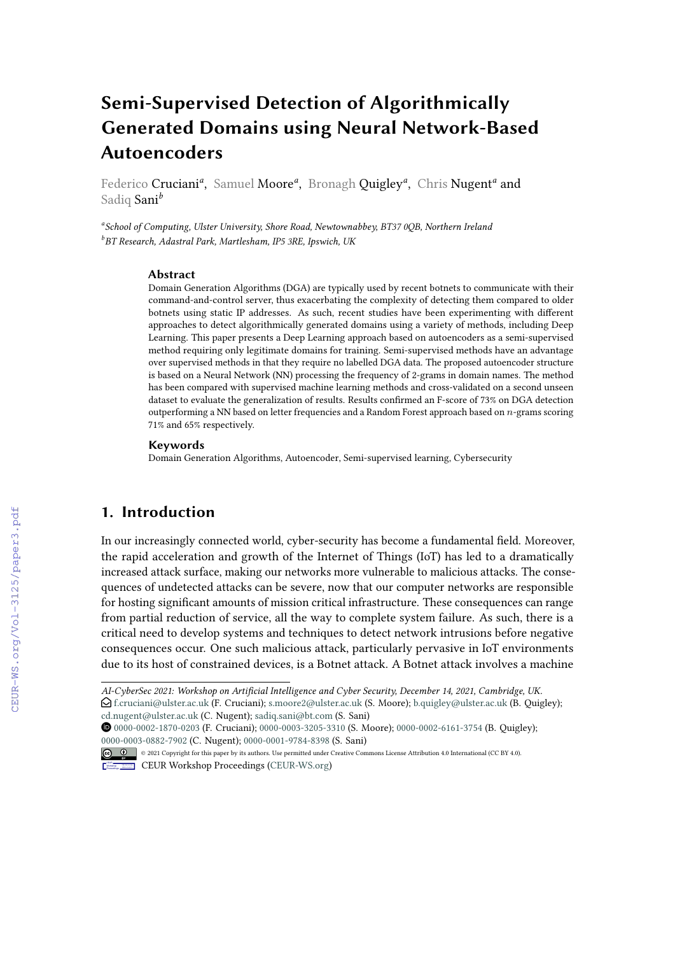# **Semi-Supervised Detection of Algorithmically Generated Domains using Neural Network-Based Autoencoders**

Federico Cruciani<sup>a</sup>, Samuel Moore<sup>a</sup>, Bronagh Quigley<sup>a</sup>, Chris Nugent<sup>a</sup> and Sadiq Sani*<sup>b</sup>*

*a School of Computing, Ulster University, Shore Road, Newtownabbey, BT37 0QB, Northern Ireland b BT Research, Adastral Park, Martlesham, IP5 3RE, Ipswich, UK*

#### **Abstract**

Domain Generation Algorithms (DGA) are typically used by recent botnets to communicate with their command-and-control server, thus exacerbating the complexity of detecting them compared to older botnets using static IP addresses. As such, recent studies have been experimenting with different approaches to detect algorithmically generated domains using a variety of methods, including Deep Learning. This paper presents a Deep Learning approach based on autoencoders as a semi-supervised method requiring only legitimate domains for training. Semi-supervised methods have an advantage over supervised methods in that they require no labelled DGA data. The proposed autoencoder structure is based on a Neural Network (NN) processing the frequency of 2-grams in domain names. The method has been compared with supervised machine learning methods and cross-validated on a second unseen dataset to evaluate the generalization of results. Results confirmed an F-score of 73% on DGA detection outperforming a NN based on letter frequencies and a Random Forest approach based on n-grams scoring 71% and 65% respectively.

#### **Keywords**

Domain Generation Algorithms, Autoencoder, Semi-supervised learning, Cybersecurity

#### **1. Introduction**

In our increasingly connected world, cyber-security has become a fundamental field. Moreover, the rapid acceleration and growth of the Internet of Things (IoT) has led to a dramatically increased attack surface, making our networks more vulnerable to malicious attacks. The consequences of undetected attacks can be severe, now that our computer networks are responsible for hosting significant amounts of mission critical infrastructure. These consequences can range from partial reduction of service, all the way to complete system failure. As such, there is a critical need to develop systems and techniques to detect network intrusions before negative consequences occur. One such malicious attack, particularly pervasive in IoT environments due to its host of constrained devices, is a Botnet attack. A Botnet attack involves a machine

[0000-0002-1870-0203](https://orcid.org/0000-0002-1870-0203) (F. Cruciani); [0000-0003-3205-3310](https://orcid.org/0000-0003-3205-3310) (S. Moore); [0000-0002-6161-3754](https://orcid.org/0000-0002-6161-3754) (B. Quigley); [0000-0003-0882-7902](https://orcid.org/0000-0003-0882-7902) (C. Nugent); [0000-0001-9784-8398](https://orcid.org/0000-0001-9784-8398) (S. Sani)



© 2021 Copyright for this paper by its authors. Use permitted under Creative Commons License Attribution 4.0 International (CC BY 4.0). CEUR Workshop [Proceedings](http://ceur-ws.org) [\(CEUR-WS.org\)](http://ceur-ws.org)

*AI-CyberSec 2021: Workshop on Artificial Intelligence and Cyber Security, December 14, 2021, Cambridge, UK.*

 $\bigcirc$  [f.cruciani@ulster.ac.uk](mailto:f.cruciani@ulster.ac.uk) (F. Cruciani); [s.moore2@ulster.ac.uk](mailto:s.moore2@ulster.ac.uk) (S. Moore); [b.quigley@ulster.ac.uk](mailto:b.quigley@ulster.ac.uk) (B. Quigley); [cd.nugent@ulster.ac.uk](mailto:cd.nugent@ulster.ac.uk) (C. Nugent); [sadiq.sani@bt.com](mailto:sadiq.sani@bt.com) (S. Sani)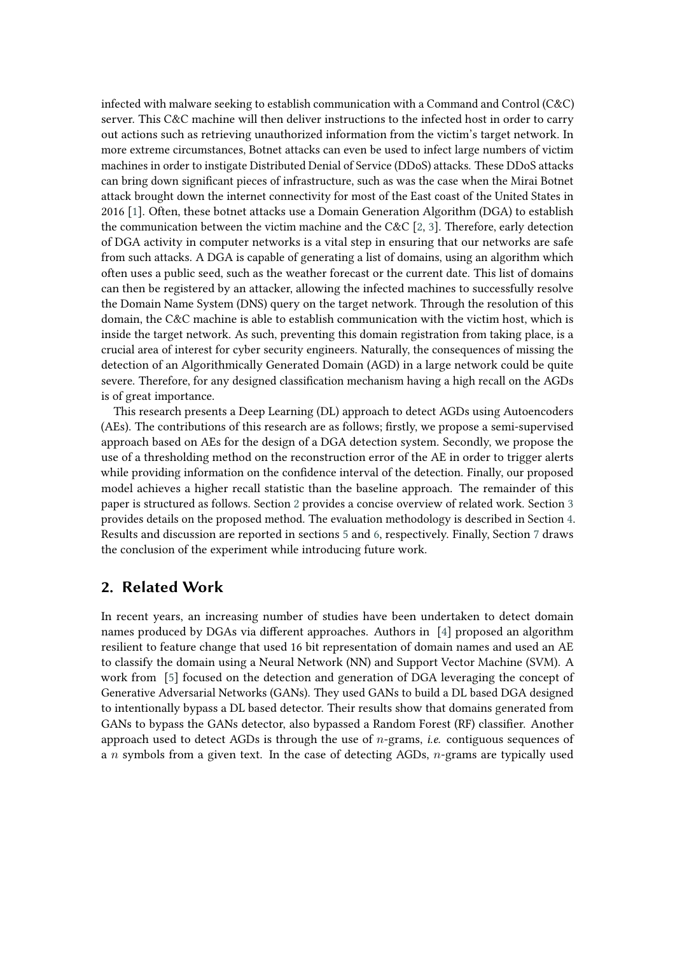infected with malware seeking to establish communication with a Command and Control (C&C) server. This C&C machine will then deliver instructions to the infected host in order to carry out actions such as retrieving unauthorized information from the victim's target network. In more extreme circumstances, Botnet attacks can even be used to infect large numbers of victim machines in order to instigate Distributed Denial of Service (DDoS) attacks. These DDoS attacks can bring down significant pieces of infrastructure, such as was the case when the Mirai Botnet attack brought down the internet connectivity for most of the East coast of the United States in 2016 [\[1\]](#page-7-0). Often, these botnet attacks use a Domain Generation Algorithm (DGA) to establish the communication between the victim machine and the C&C  $[2, 3]$  $[2, 3]$  $[2, 3]$ . Therefore, early detection of DGA activity in computer networks is a vital step in ensuring that our networks are safe from such attacks. A DGA is capable of generating a list of domains, using an algorithm which often uses a public seed, such as the weather forecast or the current date. This list of domains can then be registered by an attacker, allowing the infected machines to successfully resolve the Domain Name System (DNS) query on the target network. Through the resolution of this domain, the C&C machine is able to establish communication with the victim host, which is inside the target network. As such, preventing this domain registration from taking place, is a crucial area of interest for cyber security engineers. Naturally, the consequences of missing the detection of an Algorithmically Generated Domain (AGD) in a large network could be quite severe. Therefore, for any designed classification mechanism having a high recall on the AGDs is of great importance.

This research presents a Deep Learning (DL) approach to detect AGDs using Autoencoders (AEs). The contributions of this research are as follows; firstly, we propose a semi-supervised approach based on AEs for the design of a DGA detection system. Secondly, we propose the use of a thresholding method on the reconstruction error of the AE in order to trigger alerts while providing information on the confidence interval of the detection. Finally, our proposed model achieves a higher recall statistic than the baseline approach. The remainder of this paper is structured as follows. Section [2](#page-1-0) provides a concise overview of related work. Section [3](#page-2-0) provides details on the proposed method. The evaluation methodology is described in Section [4.](#page-5-0) Results and discussion are reported in sections [5](#page-5-1) and [6,](#page-6-0) respectively. Finally, Section [7](#page-7-3) draws the conclusion of the experiment while introducing future work.

### <span id="page-1-0"></span>**2. Related Work**

In recent years, an increasing number of studies have been undertaken to detect domain names produced by DGAs via different approaches. Authors in [\[4\]](#page-8-0) proposed an algorithm resilient to feature change that used 16 bit representation of domain names and used an AE to classify the domain using a Neural Network (NN) and Support Vector Machine (SVM). A work from [\[5\]](#page-8-1) focused on the detection and generation of DGA leveraging the concept of Generative Adversarial Networks (GANs). They used GANs to build a DL based DGA designed to intentionally bypass a DL based detector. Their results show that domains generated from GANs to bypass the GANs detector, also bypassed a Random Forest (RF) classifier. Another approach used to detect AGDs is through the use of  $n$ -grams, *i.e.* contiguous sequences of a *n* symbols from a given text. In the case of detecting AGDs,  $n$ -grams are typically used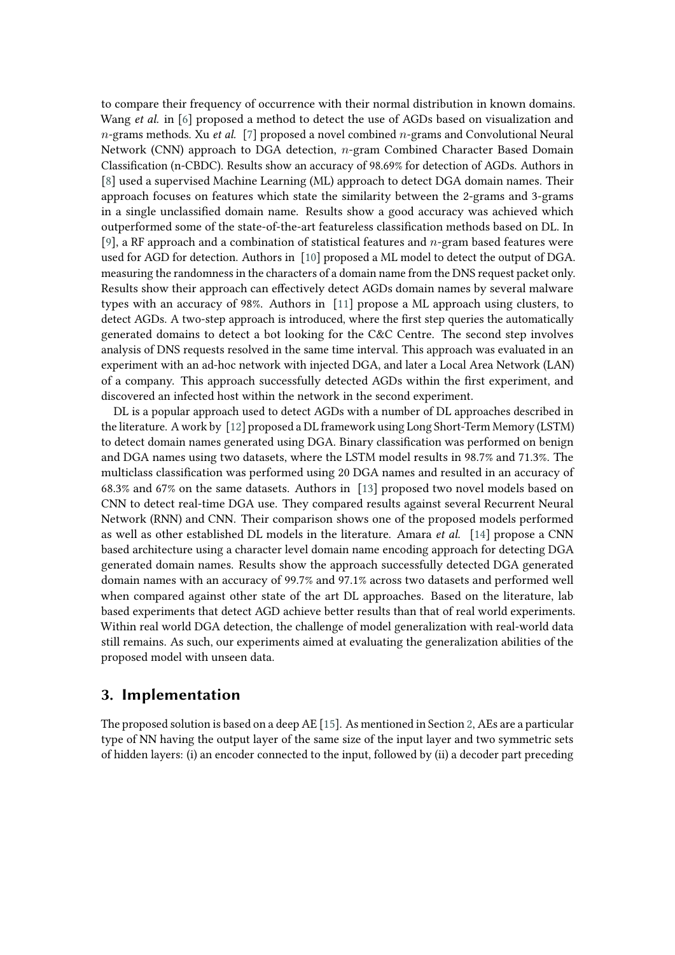to compare their frequency of occurrence with their normal distribution in known domains. Wang *et al.* in [\[6\]](#page-8-2) proposed a method to detect the use of AGDs based on visualization and  $n$ -grams methods. Xu *et al.* [\[7\]](#page-8-3) proposed a novel combined  $n$ -grams and Convolutional Neural Network (CNN) approach to DGA detection,  $n$ -gram Combined Character Based Domain Classification (n-CBDC). Results show an accuracy of 98.69% for detection of AGDs. Authors in [\[8\]](#page-8-4) used a supervised Machine Learning (ML) approach to detect DGA domain names. Their approach focuses on features which state the similarity between the 2-grams and 3-grams in a single unclassified domain name. Results show a good accuracy was achieved which outperformed some of the state-of-the-art featureless classification methods based on DL. In [\[9\]](#page-8-5), a RF approach and a combination of statistical features and  $n$ -gram based features were used for AGD for detection. Authors in [\[10\]](#page-8-6) proposed a ML model to detect the output of DGA. measuring the randomness in the characters of a domain name from the DNS request packet only. Results show their approach can effectively detect AGDs domain names by several malware types with an accuracy of 98%. Authors in [\[11\]](#page-8-7) propose a ML approach using clusters, to detect AGDs. A two-step approach is introduced, where the first step queries the automatically generated domains to detect a bot looking for the C&C Centre. The second step involves analysis of DNS requests resolved in the same time interval. This approach was evaluated in an experiment with an ad-hoc network with injected DGA, and later a Local Area Network (LAN) of a company. This approach successfully detected AGDs within the first experiment, and discovered an infected host within the network in the second experiment.

DL is a popular approach used to detect AGDs with a number of DL approaches described in the literature. A work by [\[12\]](#page-8-8) proposed a DL framework using Long Short-Term Memory (LSTM) to detect domain names generated using DGA. Binary classification was performed on benign and DGA names using two datasets, where the LSTM model results in 98.7% and 71.3%. The multiclass classification was performed using 20 DGA names and resulted in an accuracy of 68.3% and 67% on the same datasets. Authors in [\[13\]](#page-8-9) proposed two novel models based on CNN to detect real-time DGA use. They compared results against several Recurrent Neural Network (RNN) and CNN. Their comparison shows one of the proposed models performed as well as other established DL models in the literature. Amara *et al.* [\[14\]](#page-8-10) propose a CNN based architecture using a character level domain name encoding approach for detecting DGA generated domain names. Results show the approach successfully detected DGA generated domain names with an accuracy of 99.7% and 97.1% across two datasets and performed well when compared against other state of the art DL approaches. Based on the literature, lab based experiments that detect AGD achieve better results than that of real world experiments. Within real world DGA detection, the challenge of model generalization with real-world data still remains. As such, our experiments aimed at evaluating the generalization abilities of the proposed model with unseen data.

### <span id="page-2-0"></span>**3. Implementation**

The proposed solution is based on a deep AE [\[15\]](#page-8-11). As mentioned in Section [2,](#page-1-0) AEs are a particular type of NN having the output layer of the same size of the input layer and two symmetric sets of hidden layers: (i) an encoder connected to the input, followed by (ii) a decoder part preceding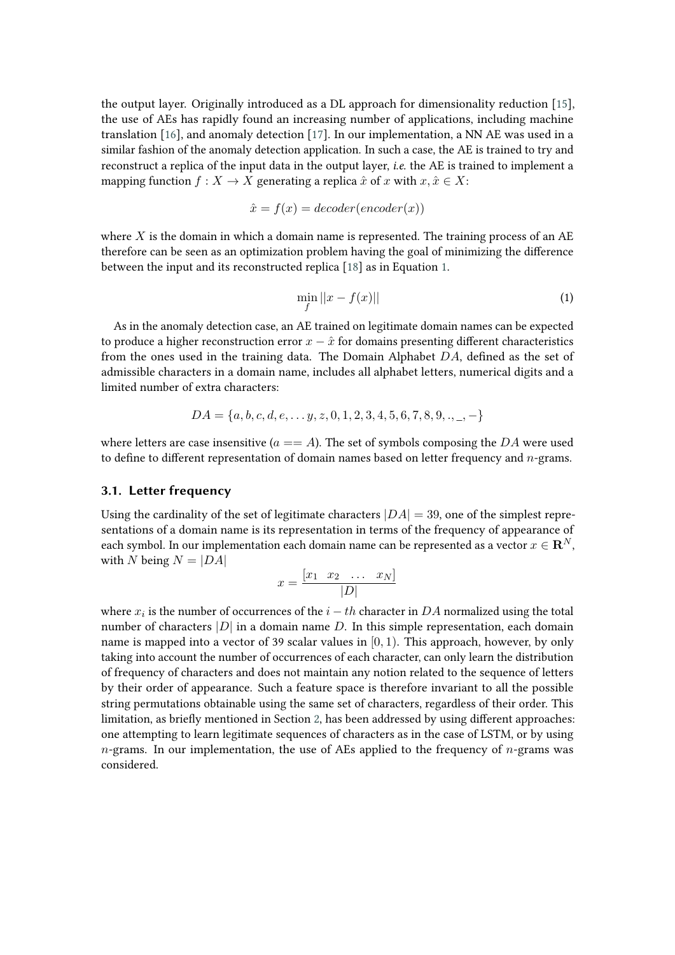the output layer. Originally introduced as a DL approach for dimensionality reduction [\[15\]](#page-8-11), the use of AEs has rapidly found an increasing number of applications, including machine translation [\[16\]](#page-8-12), and anomaly detection [\[17\]](#page-8-13). In our implementation, a NN AE was used in a similar fashion of the anomaly detection application. In such a case, the AE is trained to try and reconstruct a replica of the input data in the output layer, *i.e.* the AE is trained to implement a mapping function  $f : X \to X$  generating a replica  $\hat{x}$  of  $x$  with  $x, \hat{x} \in X$ :

$$
\hat{x} = f(x) = decoder(encoder(x))
$$

where  $X$  is the domain in which a domain name is represented. The training process of an AE therefore can be seen as an optimization problem having the goal of minimizing the difference between the input and its reconstructed replica [\[18\]](#page-8-14) as in Equation [1.](#page-3-0)

<span id="page-3-0"></span>
$$
\min_{f} ||x - f(x)|| \tag{1}
$$

As in the anomaly detection case, an AE trained on legitimate domain names can be expected to produce a higher reconstruction error  $x - \hat{x}$  for domains presenting different characteristics from the ones used in the training data. The Domain Alphabet  $DA$ , defined as the set of admissible characters in a domain name, includes all alphabet letters, numerical digits and a limited number of extra characters:

$$
DA = \{a, b, c, d, e, \dots y, z, 0, 1, 2, 3, 4, 5, 6, 7, 8, 9, \dots, -\}
$$

where letters are case insensitive ( $a == A$ ). The set of symbols composing the DA were used to define to different representation of domain names based on letter frequency and  $n$ -grams.

#### **3.1. Letter frequency**

Using the cardinality of the set of legitimate characters  $|DA| = 39$ , one of the simplest representations of a domain name is its representation in terms of the frequency of appearance of each symbol. In our implementation each domain name can be represented as a vector  $x \in \mathbb{R}^N$ , with N being  $N = |DA|$ 

$$
x = \frac{\begin{bmatrix} x_1 & x_2 & \dots & x_N \end{bmatrix}}{|D|}
$$

where  $x_i$  is the number of occurrences of the  $i-th$  character in  $DA$  normalized using the total number of characters  $|D|$  in a domain name D. In this simple representation, each domain name is mapped into a vector of 39 scalar values in  $[0, 1)$ . This approach, however, by only taking into account the number of occurrences of each character, can only learn the distribution of frequency of characters and does not maintain any notion related to the sequence of letters by their order of appearance. Such a feature space is therefore invariant to all the possible string permutations obtainable using the same set of characters, regardless of their order. This limitation, as briefly mentioned in Section [2,](#page-1-0) has been addressed by using different approaches: one attempting to learn legitimate sequences of characters as in the case of LSTM, or by using  $n$ -grams. In our implementation, the use of AEs applied to the frequency of  $n$ -grams was considered.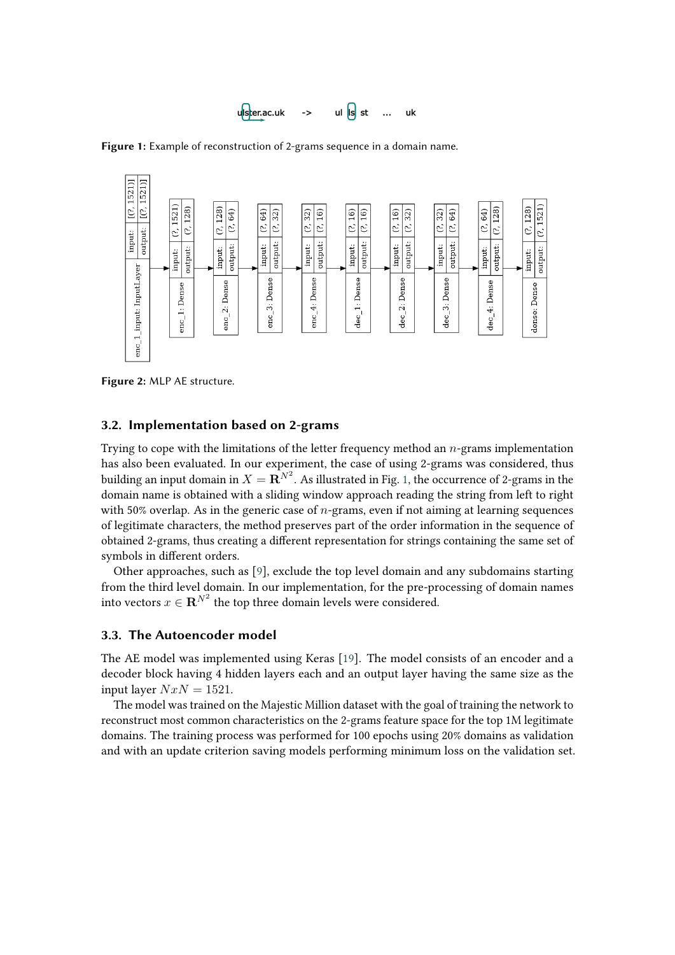<span id="page-4-0"></span>

**Figure 1:** Example of reconstruction of 2-grams sequence in a domain name.



**Figure 2:** MLP AE structure.

#### **3.2. Implementation based on 2-grams**

Trying to cope with the limitations of the letter frequency method an  $n$ -grams implementation has also been evaluated. In our experiment, the case of using 2-grams was considered, thus building an input domain in  $X={\bf R}^{N^2}.$  As illustrated in Fig. [1,](#page-4-0) the occurrence of 2-grams in the domain name is obtained with a sliding window approach reading the string from left to right with 50% overlap. As in the generic case of  $n$ -grams, even if not aiming at learning sequences of legitimate characters, the method preserves part of the order information in the sequence of obtained 2-grams, thus creating a different representation for strings containing the same set of symbols in different orders.

Other approaches, such as [\[9\]](#page-8-5), exclude the top level domain and any subdomains starting from the third level domain. In our implementation, for the pre-processing of domain names into vectors  $x \in \mathbf{R}^{N^2}$  the top three domain levels were considered.

#### <span id="page-4-1"></span>**3.3. The Autoencoder model**

The AE model was implemented using Keras [\[19\]](#page-8-15). The model consists of an encoder and a decoder block having 4 hidden layers each and an output layer having the same size as the input layer  $NxN = 1521$ .

The model was trained on the Majestic Million dataset with the goal of training the network to reconstruct most common characteristics on the 2-grams feature space for the top 1M legitimate domains. The training process was performed for 100 epochs using 20% domains as validation and with an update criterion saving models performing minimum loss on the validation set.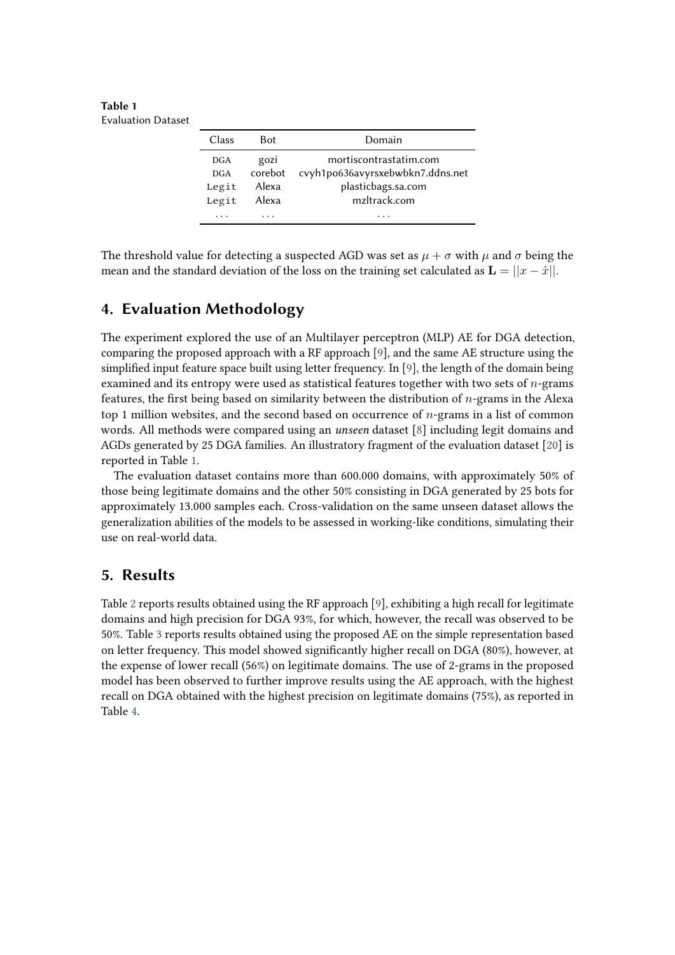<span id="page-5-2"></span>**Table 1** Evaluation Dataset

| Class      | <b>Bot</b> | Domain                           |
|------------|------------|----------------------------------|
| <b>DGA</b> | gozi       | mortiscontrastatim.com           |
| <b>DGA</b> | corebot    | cvyh1po636avyrsxebwbkn7.ddns.net |
| Legit      | Alexa      | plasticbags.sa.com               |
| Legit      | Alexa      | mzltrack.com                     |
|            |            |                                  |

The threshold value for detecting a suspected AGD was set as  $\mu + \sigma$  with  $\mu$  and  $\sigma$  being the mean and the standard deviation of the loss on the training set calculated as  $\mathbf{L} = ||x - \hat{x}||$ .

## <span id="page-5-0"></span>**4. Evaluation Methodology**

The experiment explored the use of an Multilayer perceptron (MLP) AE for DGA detection, comparing the proposed approach with a RF approach [\[9\]](#page-8-5), and the same AE structure using the simplified input feature space built using letter frequency. In [\[9\]](#page-8-5), the length of the domain being examined and its entropy were used as statistical features together with two sets of  $n$ -grams features, the first being based on similarity between the distribution of  $n$ -grams in the Alexa top 1 million websites, and the second based on occurrence of  $n$ -grams in a list of common words. All methods were compared using an *unseen* dataset [\[8\]](#page-8-4) including legit domains and AGDs generated by 25 DGA families. An illustratory fragment of the evaluation dataset [\[20\]](#page-8-16) is reported in Table [1.](#page-5-2)

The evaluation dataset contains more than 600.000 domains, with approximately 50% of those being legitimate domains and the other 50% consisting in DGA generated by 25 bots for approximately 13.000 samples each. Cross-validation on the same unseen dataset allows the generalization abilities of the models to be assessed in working-like conditions, simulating their use on real-world data.

### <span id="page-5-1"></span>**5. Results**

Table [2](#page-6-1) reports results obtained using the RF approach [\[9\]](#page-8-5), exhibiting a high recall for legitimate domains and high precision for DGA 93%, for which, however, the recall was observed to be 50%. Table [3](#page-6-2) reports results obtained using the proposed AE on the simple representation based on letter frequency. This model showed significantly higher recall on DGA (80%), however, at the expense of lower recall (56%) on legitimate domains. The use of 2-grams in the proposed model has been observed to further improve results using the AE approach, with the highest recall on DGA obtained with the highest precision on legitimate domains (75%), as reported in Table [4.](#page-6-3)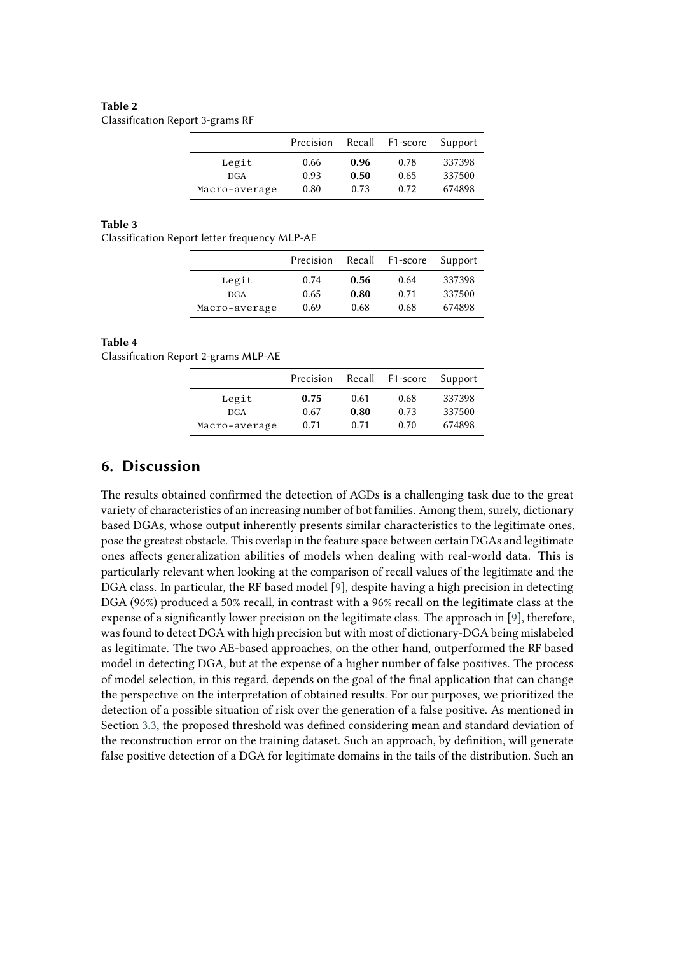#### <span id="page-6-1"></span>**Table 2**

Classification Report 3-grams RF

|               | Precision | Recall | F1-score | Support |
|---------------|-----------|--------|----------|---------|
| Legit         | 0.66      | 0.96   | 0.78     | 337398  |
| <b>DGA</b>    | 0.93      | 0.50   | 0.65     | 337500  |
| Macro-average | 0.80      | 0.73   | 0.72     | 674898  |

#### <span id="page-6-2"></span>**Table 3**

Classification Report letter frequency MLP-AE

|               | Precision | Recall | F1-score | Support |
|---------------|-----------|--------|----------|---------|
| Legit         | 0.74      | 0.56   | 0.64     | 337398  |
| <b>DGA</b>    | 0.65      | 0.80   | 0.71     | 337500  |
| Macro-average | 0.69      | 0.68   | 0.68     | 674898  |

#### <span id="page-6-3"></span>**Table 4**

Classification Report 2-grams MLP-AE

|               | Precision |      | Recall F1-score | Support |
|---------------|-----------|------|-----------------|---------|
| Legit         | 0.75      | 0.61 | 0.68            | 337398  |
| <b>DGA</b>    | 0.67      | 0.80 | 0.73            | 337500  |
| Macro-average | 0.71      | 0.71 | 0.70            | 674898  |

### <span id="page-6-0"></span>**6. Discussion**

The results obtained confirmed the detection of AGDs is a challenging task due to the great variety of characteristics of an increasing number of bot families. Among them, surely, dictionary based DGAs, whose output inherently presents similar characteristics to the legitimate ones, pose the greatest obstacle. This overlap in the feature space between certain DGAs and legitimate ones affects generalization abilities of models when dealing with real-world data. This is particularly relevant when looking at the comparison of recall values of the legitimate and the DGA class. In particular, the RF based model [\[9\]](#page-8-5), despite having a high precision in detecting DGA (96%) produced a 50% recall, in contrast with a 96% recall on the legitimate class at the expense of a significantly lower precision on the legitimate class. The approach in [\[9\]](#page-8-5), therefore, was found to detect DGA with high precision but with most of dictionary-DGA being mislabeled as legitimate. The two AE-based approaches, on the other hand, outperformed the RF based model in detecting DGA, but at the expense of a higher number of false positives. The process of model selection, in this regard, depends on the goal of the final application that can change the perspective on the interpretation of obtained results. For our purposes, we prioritized the detection of a possible situation of risk over the generation of a false positive. As mentioned in Section [3.3,](#page-4-1) the proposed threshold was defined considering mean and standard deviation of the reconstruction error on the training dataset. Such an approach, by definition, will generate false positive detection of a DGA for legitimate domains in the tails of the distribution. Such an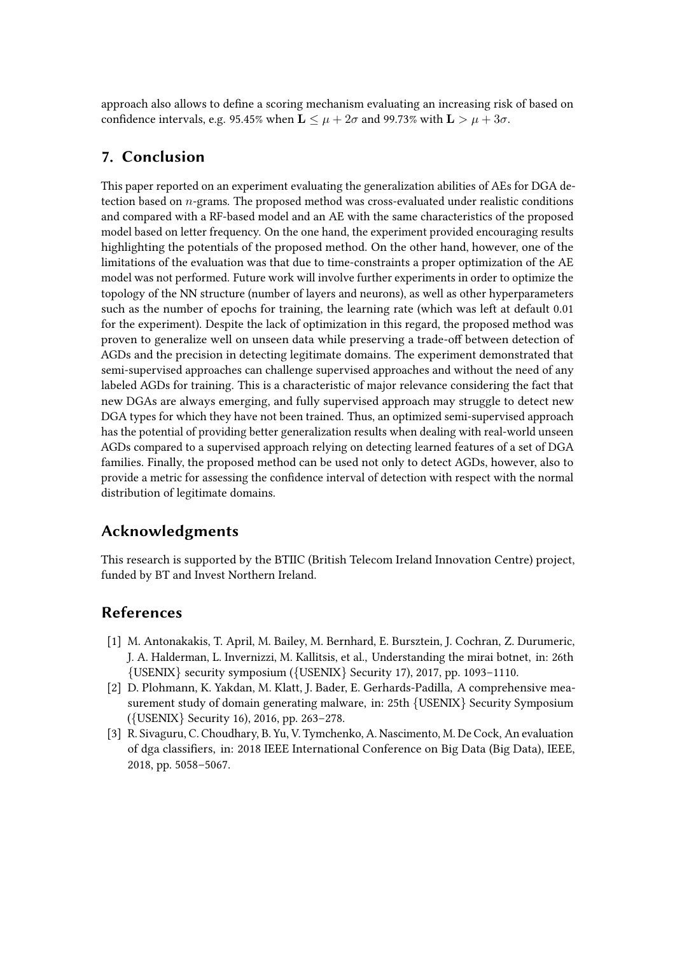approach also allows to define a scoring mechanism evaluating an increasing risk of based on confidence intervals, e.g. 95.45% when  $\mathbf{L} \leq \mu + 2\sigma$  and 99.73% with  $\mathbf{L} > \mu + 3\sigma$ .

# <span id="page-7-3"></span>**7. Conclusion**

This paper reported on an experiment evaluating the generalization abilities of AEs for DGA detection based on  $n$ -grams. The proposed method was cross-evaluated under realistic conditions and compared with a RF-based model and an AE with the same characteristics of the proposed model based on letter frequency. On the one hand, the experiment provided encouraging results highlighting the potentials of the proposed method. On the other hand, however, one of the limitations of the evaluation was that due to time-constraints a proper optimization of the AE model was not performed. Future work will involve further experiments in order to optimize the topology of the NN structure (number of layers and neurons), as well as other hyperparameters such as the number of epochs for training, the learning rate (which was left at default 0.01 for the experiment). Despite the lack of optimization in this regard, the proposed method was proven to generalize well on unseen data while preserving a trade-off between detection of AGDs and the precision in detecting legitimate domains. The experiment demonstrated that semi-supervised approaches can challenge supervised approaches and without the need of any labeled AGDs for training. This is a characteristic of major relevance considering the fact that new DGAs are always emerging, and fully supervised approach may struggle to detect new DGA types for which they have not been trained. Thus, an optimized semi-supervised approach has the potential of providing better generalization results when dealing with real-world unseen AGDs compared to a supervised approach relying on detecting learned features of a set of DGA families. Finally, the proposed method can be used not only to detect AGDs, however, also to provide a metric for assessing the confidence interval of detection with respect with the normal distribution of legitimate domains.

# **Acknowledgments**

This research is supported by the BTIIC (British Telecom Ireland Innovation Centre) project, funded by BT and Invest Northern Ireland.

## **References**

- <span id="page-7-0"></span>[1] M. Antonakakis, T. April, M. Bailey, M. Bernhard, E. Bursztein, J. Cochran, Z. Durumeric, J. A. Halderman, L. Invernizzi, M. Kallitsis, et al., Understanding the mirai botnet, in: 26th {USENIX} security symposium ({USENIX} Security 17), 2017, pp. 1093–1110.
- <span id="page-7-1"></span>[2] D. Plohmann, K. Yakdan, M. Klatt, J. Bader, E. Gerhards-Padilla, A comprehensive measurement study of domain generating malware, in: 25th {USENIX} Security Symposium ({USENIX} Security 16), 2016, pp. 263–278.
- <span id="page-7-2"></span>[3] R. Sivaguru, C. Choudhary, B. Yu, V. Tymchenko, A. Nascimento, M. De Cock, An evaluation of dga classifiers, in: 2018 IEEE International Conference on Big Data (Big Data), IEEE, 2018, pp. 5058–5067.